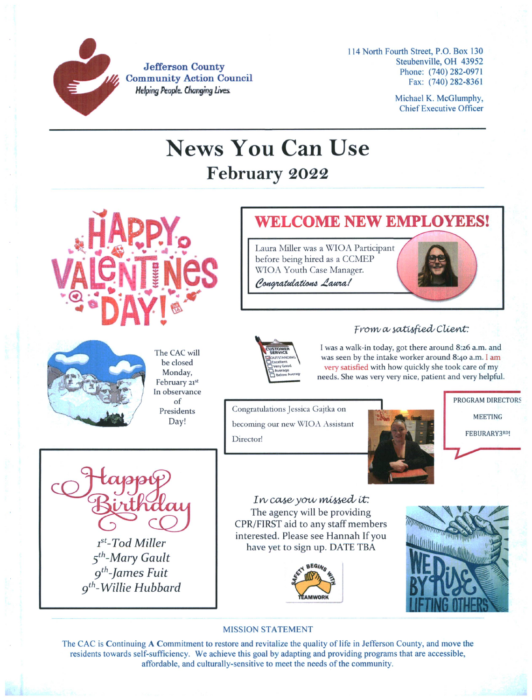

**Jefferson County Community Action Council** *Helping People. Changing Lives.*

**114 North Fourth Street, P.O. Box 130 Steubenville, OH 43952 Phone: (740)282-0971 Fax: (740)282-8361**

> **Michael K. McGlumphy, ChiefExecutive Officer**

# News You Can Use **February 2022**



The CAC will be closed Monday, February 21st In observance of Presidents **Day!**

### **WELCOME NEW EMPLOYEES!**

Laura Miller was a WIOA Participant before being hired as a CCMEP WIOA Youth Case Manager.

Congratulations Laura!





## *From a satisfied Client.*

I was a walk-in today, got there around 8:26 a.m. and was seen by the intake worker around 8:40 a.m. I am very satisfied with how quickly she took care of my needs. She was very very nice, patient and very helpful.

Congratulations Jessica Gajtka on becoming our new WIOA Assistant Director!





*ist-Tod Miller 5th-Mary Gault gth-James Fuit gth-Willie Hubbard*

In case you missed it. The agency will be providing CPR/FIRST aid to any staff members interested. Please see Hannah If you have yet to sign up. DATE TBA





### **MISSION STATEMENT**

The CAC is Continuing A Commitment to restore and revitalize the quality of life in Jefferson County, and move the **residents towards self-sufficiency. We achieve this goal by adapting and providing programs that are accessible, affordable, and culturally-sensitive to meet the needs ofthe community.**